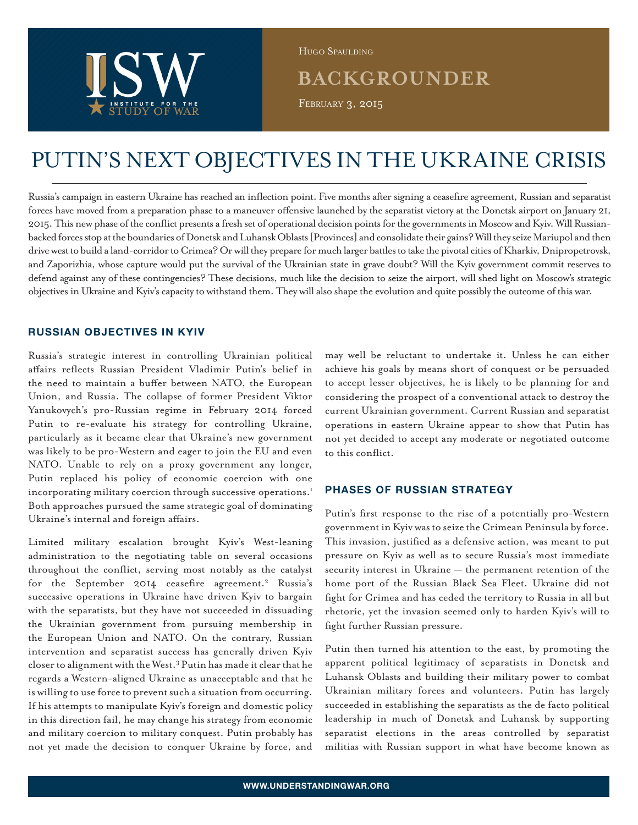

Hugo Spaulding

# **BACKGROUNDER**

FEBRUARY 3, 2015

# PUTIN'S NEXT OBJECTIVES IN THE UKRAINE CRISIS

Russia's campaign in eastern Ukraine has reached an inflection point. Five months after signing a ceasefire agreement, Russian and separatist forces have moved from a preparation phase to a maneuver offensive launched by the separatist victory at the Donetsk airport on January 21, 2015. This new phase of the conflict presents a fresh set of operational decision points for the governments in Moscow and Kyiv. Will Russianbacked forces stop at the boundaries of Donetsk and Luhansk Oblasts [Provinces] and consolidate their gains? Will they seize Mariupol and then drive west to build a land-corridor to Crimea? Or will they prepare for much larger battles to take the pivotal cities of Kharkiv, Dnipropetrovsk, and Zaporizhia, whose capture would put the survival of the Ukrainian state in grave doubt? Will the Kyiv government commit reserves to defend against any of these contingencies? These decisions, much like the decision to seize the airport, will shed light on Moscow's strategic objectives in Ukraine and Kyiv's capacity to withstand them. They will also shape the evolution and quite possibly the outcome of this war.

## **RUSSIAN OBJECTIVES IN KYIV**

Russia's strategic interest in controlling Ukrainian political affairs reflects Russian President Vladimir Putin's belief in the need to maintain a buffer between NATO, the European Union, and Russia. The collapse of former President Viktor Yanukovych's pro-Russian regime in February 2014 forced Putin to re-evaluate his strategy for controlling Ukraine, particularly as it became clear that Ukraine's new government was likely to be pro-Western and eager to join the EU and even NATO. Unable to rely on a proxy government any longer, Putin replaced his policy of economic coercion with one incorporating military coercion through successive operations.<sup>1</sup> Both approaches pursued the same strategic goal of dominating Ukraine's internal and foreign affairs.

Limited military escalation brought Kyiv's West-leaning administration to the negotiating table on several occasions throughout the conflict, serving most notably as the catalyst for the September 2014 ceasefire agreement.<sup>2</sup> Russia's successive operations in Ukraine have driven Kyiv to bargain with the separatists, but they have not succeeded in dissuading the Ukrainian government from pursuing membership in the European Union and NATO. On the contrary, Russian intervention and separatist success has generally driven Kyiv closer to alignment with the West.<sup>3</sup> Putin has made it clear that he regards a Western-aligned Ukraine as unacceptable and that he is willing to use force to prevent such a situation from occurring. If his attempts to manipulate Kyiv's foreign and domestic policy in this direction fail, he may change his strategy from economic and military coercion to military conquest. Putin probably has not yet made the decision to conquer Ukraine by force, and

may well be reluctant to undertake it. Unless he can either achieve his goals by means short of conquest or be persuaded to accept lesser objectives, he is likely to be planning for and considering the prospect of a conventional attack to destroy the current Ukrainian government. Current Russian and separatist operations in eastern Ukraine appear to show that Putin has not yet decided to accept any moderate or negotiated outcome to this conflict.

# **PHASES OF RUSSIAN STRATEGY**

Putin's first response to the rise of a potentially pro-Western government in Kyiv was to seize the Crimean Peninsula by force. This invasion, justified as a defensive action, was meant to put pressure on Kyiv as well as to secure Russia's most immediate security interest in Ukraine — the permanent retention of the home port of the Russian Black Sea Fleet. Ukraine did not fight for Crimea and has ceded the territory to Russia in all but rhetoric, yet the invasion seemed only to harden Kyiv's will to fight further Russian pressure.

Putin then turned his attention to the east, by promoting the apparent political legitimacy of separatists in Donetsk and Luhansk Oblasts and building their military power to combat Ukrainian military forces and volunteers. Putin has largely succeeded in establishing the separatists as the de facto political leadership in much of Donetsk and Luhansk by supporting separatist elections in the areas controlled by separatist militias with Russian support in what have become known as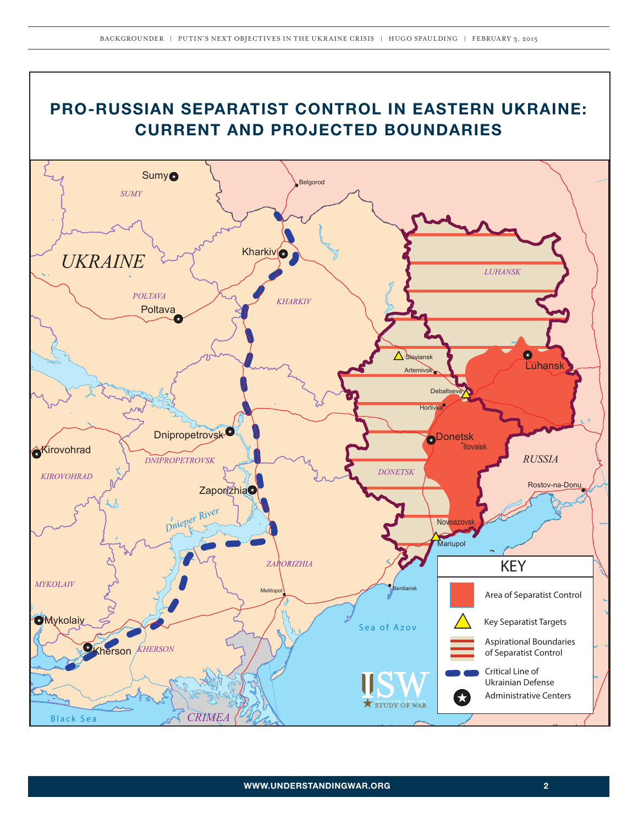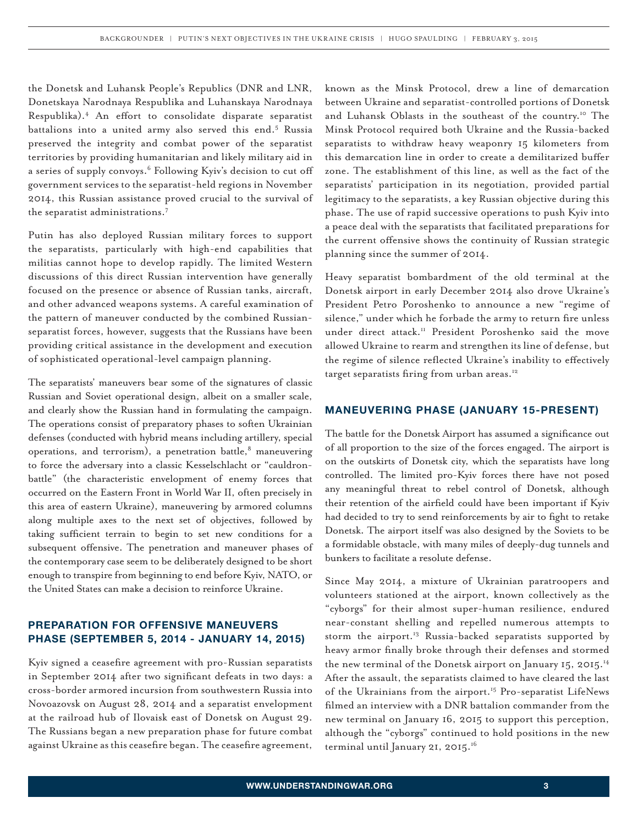the Donetsk and Luhansk People's Republics (DNR and LNR, Donetskaya Narodnaya Respublika and Luhanskaya Narodnaya Respublika).4 An effort to consolidate disparate separatist battalions into a united army also served this end.<sup>5</sup> Russia preserved the integrity and combat power of the separatist territories by providing humanitarian and likely military aid in a series of supply convoys.<sup>6</sup> Following Kyiv's decision to cut off government services to the separatist-held regions in November 2014, this Russian assistance proved crucial to the survival of the separatist administrations.<sup>7</sup>

Putin has also deployed Russian military forces to support the separatists, particularly with high-end capabilities that militias cannot hope to develop rapidly. The limited Western discussions of this direct Russian intervention have generally focused on the presence or absence of Russian tanks, aircraft, and other advanced weapons systems. A careful examination of the pattern of maneuver conducted by the combined Russianseparatist forces, however, suggests that the Russians have been providing critical assistance in the development and execution of sophisticated operational-level campaign planning.

The separatists' maneuvers bear some of the signatures of classic Russian and Soviet operational design, albeit on a smaller scale, and clearly show the Russian hand in formulating the campaign. The operations consist of preparatory phases to soften Ukrainian defenses (conducted with hybrid means including artillery, special operations, and terrorism), a penetration battle,<sup>8</sup> maneuvering to force the adversary into a classic Kesselschlacht or "cauldronbattle" (the characteristic envelopment of enemy forces that occurred on the Eastern Front in World War II, often precisely in this area of eastern Ukraine), maneuvering by armored columns along multiple axes to the next set of objectives, followed by taking sufficient terrain to begin to set new conditions for a subsequent offensive. The penetration and maneuver phases of the contemporary case seem to be deliberately designed to be short enough to transpire from beginning to end before Kyiv, NATO, or the United States can make a decision to reinforce Ukraine.

### **PREPARATION FOR OFFENSIVE MANEUVERS PHASE (SEPTEMBER 5, 2014 - JANUARY 14, 2015)**

Kyiv signed a ceasefire agreement with pro-Russian separatists in September 2014 after two significant defeats in two days: a cross-border armored incursion from southwestern Russia into Novoazovsk on August 28, 2014 and a separatist envelopment at the railroad hub of Ilovaisk east of Donetsk on August 29. The Russians began a new preparation phase for future combat against Ukraine as this ceasefire began. The ceasefire agreement,

known as the Minsk Protocol, drew a line of demarcation between Ukraine and separatist-controlled portions of Donetsk and Luhansk Oblasts in the southeast of the country.<sup>10</sup> The Minsk Protocol required both Ukraine and the Russia-backed separatists to withdraw heavy weaponry 15 kilometers from this demarcation line in order to create a demilitarized buffer zone. The establishment of this line, as well as the fact of the separatists' participation in its negotiation, provided partial legitimacy to the separatists, a key Russian objective during this phase. The use of rapid successive operations to push Kyiv into a peace deal with the separatists that facilitated preparations for the current offensive shows the continuity of Russian strategic planning since the summer of 2014.

Heavy separatist bombardment of the old terminal at the Donetsk airport in early December 2014 also drove Ukraine's President Petro Poroshenko to announce a new "regime of silence," under which he forbade the army to return fire unless under direct attack.<sup>11</sup> President Poroshenko said the move allowed Ukraine to rearm and strengthen its line of defense, but the regime of silence reflected Ukraine's inability to effectively target separatists firing from urban areas.<sup>12</sup>

#### **MANEUVERING PHASE (JANUARY 15-PRESENT)**

The battle for the Donetsk Airport has assumed a significance out of all proportion to the size of the forces engaged. The airport is on the outskirts of Donetsk city, which the separatists have long controlled. The limited pro-Kyiv forces there have not posed any meaningful threat to rebel control of Donetsk, although their retention of the airfield could have been important if Kyiv had decided to try to send reinforcements by air to fight to retake Donetsk. The airport itself was also designed by the Soviets to be a formidable obstacle, with many miles of deeply-dug tunnels and bunkers to facilitate a resolute defense.

Since May 2014, a mixture of Ukrainian paratroopers and volunteers stationed at the airport, known collectively as the "cyborgs" for their almost super-human resilience, endured near-constant shelling and repelled numerous attempts to storm the airport.<sup>13</sup> Russia-backed separatists supported by heavy armor finally broke through their defenses and stormed the new terminal of the Donetsk airport on January 15, 2015.<sup>14</sup> After the assault, the separatists claimed to have cleared the last of the Ukrainians from the airport.<sup>15</sup> Pro-separatist LifeNews filmed an interview with a DNR battalion commander from the new terminal on January 16, 2015 to support this perception, although the "cyborgs" continued to hold positions in the new terminal until January 21, 2015.<sup>16</sup>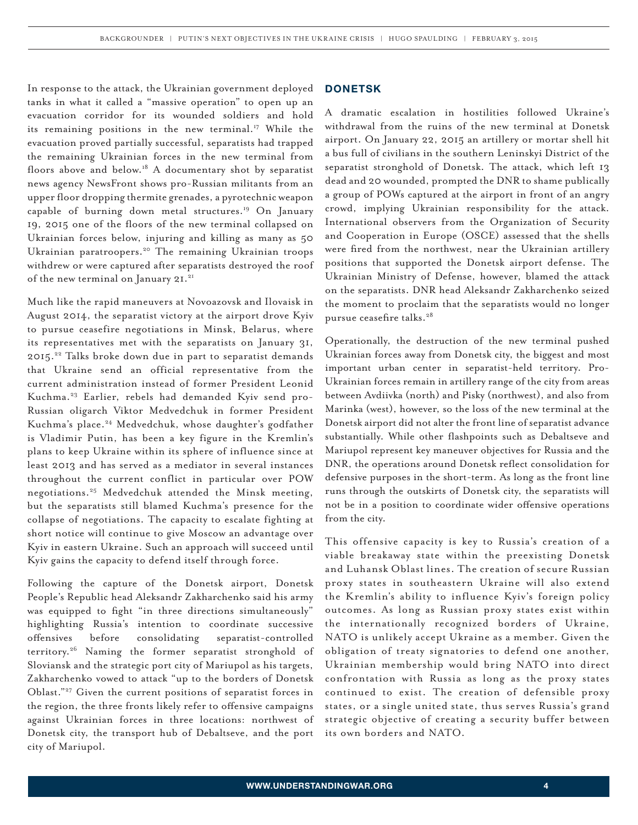In response to the attack, the Ukrainian government deployed tanks in what it called a "massive operation" to open up an evacuation corridor for its wounded soldiers and hold its remaining positions in the new terminal.<sup>17</sup> While the evacuation proved partially successful, separatists had trapped the remaining Ukrainian forces in the new terminal from floors above and below.<sup>18</sup> A documentary shot by separatist news agency NewsFront shows pro-Russian militants from an upper floor dropping thermite grenades, a pyrotechnic weapon capable of burning down metal structures.<sup>19</sup> On January 19, 2015 one of the floors of the new terminal collapsed on Ukrainian forces below, injuring and killing as many as 50 Ukrainian paratroopers.<sup>20</sup> The remaining Ukrainian troops withdrew or were captured after separatists destroyed the roof of the new terminal on January 21.<sup>21</sup>

Much like the rapid maneuvers at Novoazovsk and Ilovaisk in August 2014, the separatist victory at the airport drove Kyiv to pursue ceasefire negotiations in Minsk, Belarus, where its representatives met with the separatists on January 31, 2015.<sup>22</sup> Talks broke down due in part to separatist demands that Ukraine send an official representative from the current administration instead of former President Leonid Kuchma.23 Earlier, rebels had demanded Kyiv send pro-Russian oligarch Viktor Medvedchuk in former President Kuchma's place.<sup>24</sup> Medvedchuk, whose daughter's godfather is Vladimir Putin, has been a key figure in the Kremlin's plans to keep Ukraine within its sphere of influence since at least 2013 and has served as a mediator in several instances throughout the current conflict in particular over POW negotiations.25 Medvedchuk attended the Minsk meeting, but the separatists still blamed Kuchma's presence for the collapse of negotiations. The capacity to escalate fighting at short notice will continue to give Moscow an advantage over Kyiv in eastern Ukraine. Such an approach will succeed until Kyiv gains the capacity to defend itself through force.

Following the capture of the Donetsk airport, Donetsk People's Republic head Aleksandr Zakharchenko said his army was equipped to fight "in three directions simultaneously" highlighting Russia's intention to coordinate successive offensives before consolidating separatist-controlled territory.26 Naming the former separatist stronghold of Sloviansk and the strategic port city of Mariupol as his targets, Zakharchenko vowed to attack "up to the borders of Donetsk Oblast."27 Given the current positions of separatist forces in the region, the three fronts likely refer to offensive campaigns against Ukrainian forces in three locations: northwest of Donetsk city, the transport hub of Debaltseve, and the port city of Mariupol.

#### **DONETSK**

A dramatic escalation in hostilities followed Ukraine's withdrawal from the ruins of the new terminal at Donetsk airport. On January 22, 2015 an artillery or mortar shell hit a bus full of civilians in the southern Leninskyi District of the separatist stronghold of Donetsk. The attack, which left 13 dead and 20 wounded, prompted the DNR to shame publically a group of POWs captured at the airport in front of an angry crowd, implying Ukrainian responsibility for the attack. International observers from the Organization of Security and Cooperation in Europe (OSCE) assessed that the shells were fired from the northwest, near the Ukrainian artillery positions that supported the Donetsk airport defense. The Ukrainian Ministry of Defense, however, blamed the attack on the separatists. DNR head Aleksandr Zakharchenko seized the moment to proclaim that the separatists would no longer pursue ceasefire talks.<sup>28</sup>

Operationally, the destruction of the new terminal pushed Ukrainian forces away from Donetsk city, the biggest and most important urban center in separatist-held territory. Pro-Ukrainian forces remain in artillery range of the city from areas between Avdiivka (north) and Pisky (northwest), and also from Marinka (west), however, so the loss of the new terminal at the Donetsk airport did not alter the front line of separatist advance substantially. While other flashpoints such as Debaltseve and Mariupol represent key maneuver objectives for Russia and the DNR, the operations around Donetsk reflect consolidation for defensive purposes in the short-term. As long as the front line runs through the outskirts of Donetsk city, the separatists will not be in a position to coordinate wider offensive operations from the city.

This offensive capacity is key to Russia's creation of a viable breakaway state within the preexisting Donetsk and Luhansk Oblast lines. The creation of secure Russian proxy states in southeastern Ukraine will also extend the Kremlin's ability to influence Kyiv's foreign policy outcomes. As long as Russian proxy states exist within the internationally recognized borders of Ukraine, NATO is unlikely accept Ukraine as a member. Given the obligation of treaty signatories to defend one another, Ukrainian membership would bring NATO into direct confrontation with Russia as long as the proxy states continued to exist. The creation of defensible proxy states, or a single united state, thus serves Russia's grand strategic objective of creating a security buffer between its own borders and NATO.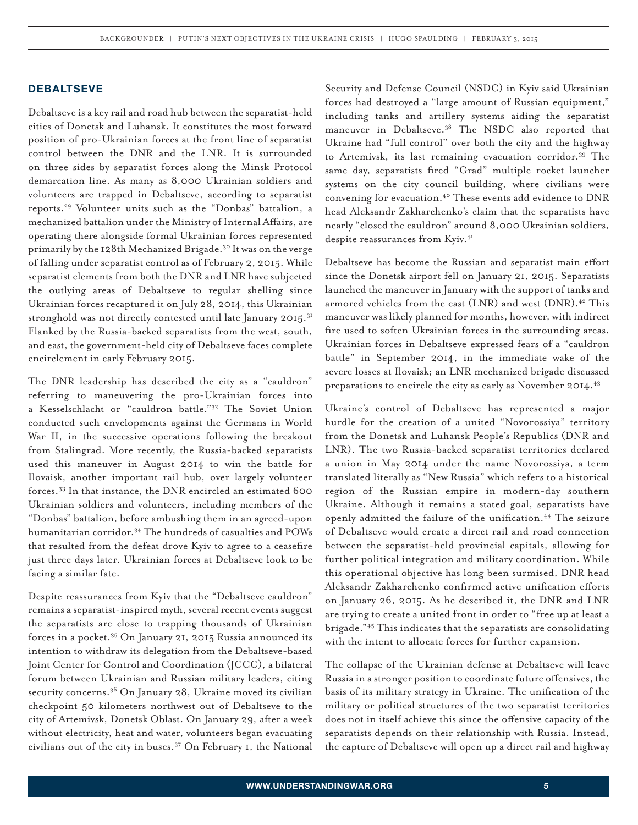#### **DEBALTSEVE**

Debaltseve is a key rail and road hub between the separatist-held cities of Donetsk and Luhansk. It constitutes the most forward position of pro-Ukrainian forces at the front line of separatist control between the DNR and the LNR. It is surrounded on three sides by separatist forces along the Minsk Protocol demarcation line. As many as 8,000 Ukrainian soldiers and volunteers are trapped in Debaltseve, according to separatist reports.29 Volunteer units such as the "Donbas" battalion, a mechanized battalion under the Ministry of Internal Affairs, are operating there alongside formal Ukrainian forces represented primarily by the 128th Mechanized Brigade.30 It was on the verge of falling under separatist control as of February 2, 2015. While separatist elements from both the DNR and LNR have subjected the outlying areas of Debaltseve to regular shelling since Ukrainian forces recaptured it on July 28, 2014, this Ukrainian stronghold was not directly contested until late January 2015.<sup>31</sup> Flanked by the Russia-backed separatists from the west, south, and east, the government-held city of Debaltseve faces complete encirclement in early February 2015.

The DNR leadership has described the city as a "cauldron" referring to maneuvering the pro-Ukrainian forces into a Kesselschlacht or "cauldron battle."32 The Soviet Union conducted such envelopments against the Germans in World War II, in the successive operations following the breakout from Stalingrad. More recently, the Russia-backed separatists used this maneuver in August 2014 to win the battle for Ilovaisk, another important rail hub, over largely volunteer forces.<sup>33</sup> In that instance, the DNR encircled an estimated 600 Ukrainian soldiers and volunteers, including members of the "Donbas" battalion, before ambushing them in an agreed-upon humanitarian corridor.34 The hundreds of casualties and POWs that resulted from the defeat drove Kyiv to agree to a ceasefire just three days later. Ukrainian forces at Debaltseve look to be facing a similar fate.

Despite reassurances from Kyiv that the "Debaltseve cauldron" remains a separatist-inspired myth, several recent events suggest the separatists are close to trapping thousands of Ukrainian forces in a pocket.35 On January 21, 2015 Russia announced its intention to withdraw its delegation from the Debaltseve-based Joint Center for Control and Coordination (JCCC), a bilateral forum between Ukrainian and Russian military leaders, citing security concerns.<sup>36</sup> On January 28, Ukraine moved its civilian checkpoint 50 kilometers northwest out of Debaltseve to the city of Artemivsk, Donetsk Oblast. On January 29, after a week without electricity, heat and water, volunteers began evacuating civilians out of the city in buses.37 On February 1, the National

Security and Defense Council (NSDC) in Kyiv said Ukrainian forces had destroyed a "large amount of Russian equipment," including tanks and artillery systems aiding the separatist maneuver in Debaltseve.<sup>38</sup> The NSDC also reported that Ukraine had "full control" over both the city and the highway to Artemivsk, its last remaining evacuation corridor.39 The same day, separatists fired "Grad" multiple rocket launcher systems on the city council building, where civilians were convening for evacuation.<sup>40</sup> These events add evidence to DNR head Aleksandr Zakharchenko's claim that the separatists have nearly "closed the cauldron" around 8,000 Ukrainian soldiers, despite reassurances from Kyiv.<sup>41</sup>

Debaltseve has become the Russian and separatist main effort since the Donetsk airport fell on January 21, 2015. Separatists launched the maneuver in January with the support of tanks and armored vehicles from the east (LNR) and west (DNR).<sup>42</sup> This maneuver was likely planned for months, however, with indirect fire used to soften Ukrainian forces in the surrounding areas. Ukrainian forces in Debaltseve expressed fears of a "cauldron battle" in September 2014, in the immediate wake of the severe losses at Ilovaisk; an LNR mechanized brigade discussed preparations to encircle the city as early as November 2014.<sup>43</sup>

Ukraine's control of Debaltseve has represented a major hurdle for the creation of a united "Novorossiya" territory from the Donetsk and Luhansk People's Republics (DNR and LNR). The two Russia-backed separatist territories declared a union in May 2014 under the name Novorossiya, a term translated literally as "New Russia" which refers to a historical region of the Russian empire in modern-day southern Ukraine. Although it remains a stated goal, separatists have openly admitted the failure of the unification.<sup>44</sup> The seizure of Debaltseve would create a direct rail and road connection between the separatist-held provincial capitals, allowing for further political integration and military coordination. While this operational objective has long been surmised, DNR head Aleksandr Zakharchenko confirmed active unification efforts on January 26, 2015. As he described it, the DNR and LNR are trying to create a united front in order to "free up at least a brigade."45 This indicates that the separatists are consolidating with the intent to allocate forces for further expansion.

The collapse of the Ukrainian defense at Debaltseve will leave Russia in a stronger position to coordinate future offensives, the basis of its military strategy in Ukraine. The unification of the military or political structures of the two separatist territories does not in itself achieve this since the offensive capacity of the separatists depends on their relationship with Russia. Instead, the capture of Debaltseve will open up a direct rail and highway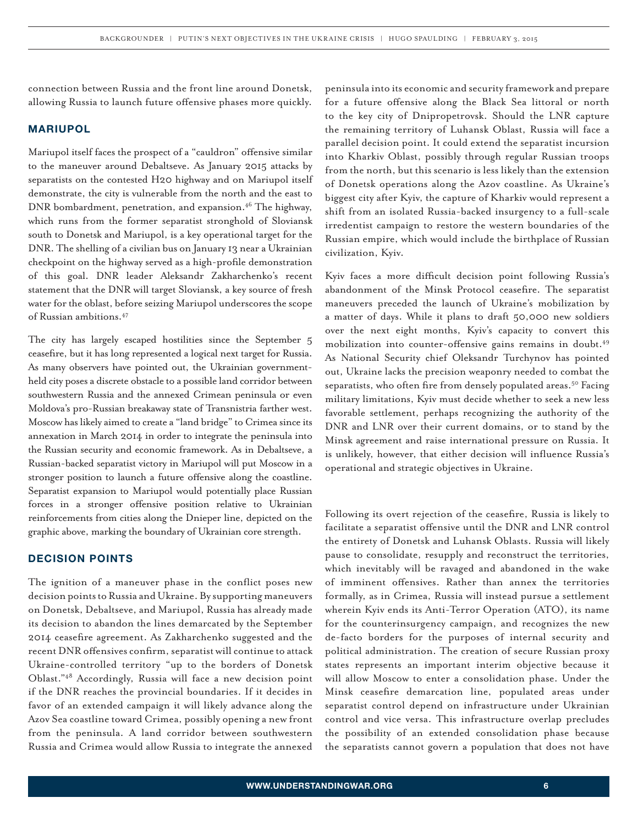connection between Russia and the front line around Donetsk, allowing Russia to launch future offensive phases more quickly.

#### **MARIUPOL**

Mariupol itself faces the prospect of a "cauldron" offensive similar to the maneuver around Debaltseve. As January 2015 attacks by separatists on the contested H20 highway and on Mariupol itself demonstrate, the city is vulnerable from the north and the east to DNR bombardment, penetration, and expansion.<sup>46</sup> The highway, which runs from the former separatist stronghold of Sloviansk south to Donetsk and Mariupol, is a key operational target for the DNR. The shelling of a civilian bus on January 13 near a Ukrainian checkpoint on the highway served as a high-profile demonstration of this goal. DNR leader Aleksandr Zakharchenko's recent statement that the DNR will target Sloviansk, a key source of fresh water for the oblast, before seizing Mariupol underscores the scope of Russian ambitions.47

The city has largely escaped hostilities since the September 5 ceasefire, but it has long represented a logical next target for Russia. As many observers have pointed out, the Ukrainian governmentheld city poses a discrete obstacle to a possible land corridor between southwestern Russia and the annexed Crimean peninsula or even Moldova's pro-Russian breakaway state of Transnistria farther west. Moscow has likely aimed to create a "land bridge" to Crimea since its annexation in March 2014 in order to integrate the peninsula into the Russian security and economic framework. As in Debaltseve, a Russian-backed separatist victory in Mariupol will put Moscow in a stronger position to launch a future offensive along the coastline. Separatist expansion to Mariupol would potentially place Russian forces in a stronger offensive position relative to Ukrainian reinforcements from cities along the Dnieper line, depicted on the graphic above, marking the boundary of Ukrainian core strength.

#### **DECISION POINTS**

The ignition of a maneuver phase in the conflict poses new decision points to Russia and Ukraine. By supporting maneuvers on Donetsk, Debaltseve, and Mariupol, Russia has already made its decision to abandon the lines demarcated by the September 2014 ceasefire agreement. As Zakharchenko suggested and the recent DNR offensives confirm, separatist will continue to attack Ukraine-controlled territory "up to the borders of Donetsk Oblast."48 Accordingly, Russia will face a new decision point if the DNR reaches the provincial boundaries. If it decides in favor of an extended campaign it will likely advance along the Azov Sea coastline toward Crimea, possibly opening a new front from the peninsula. A land corridor between southwestern Russia and Crimea would allow Russia to integrate the annexed

peninsula into its economic and security framework and prepare for a future offensive along the Black Sea littoral or north to the key city of Dnipropetrovsk. Should the LNR capture the remaining territory of Luhansk Oblast, Russia will face a parallel decision point. It could extend the separatist incursion into Kharkiv Oblast, possibly through regular Russian troops from the north, but this scenario is less likely than the extension of Donetsk operations along the Azov coastline. As Ukraine's biggest city after Kyiv, the capture of Kharkiv would represent a shift from an isolated Russia-backed insurgency to a full-scale irredentist campaign to restore the western boundaries of the Russian empire, which would include the birthplace of Russian civilization, Kyiv.

Kyiv faces a more difficult decision point following Russia's abandonment of the Minsk Protocol ceasefire. The separatist maneuvers preceded the launch of Ukraine's mobilization by a matter of days. While it plans to draft 50,000 new soldiers over the next eight months, Kyiv's capacity to convert this mobilization into counter-offensive gains remains in doubt.<sup>49</sup> As National Security chief Oleksandr Turchynov has pointed out, Ukraine lacks the precision weaponry needed to combat the separatists, who often fire from densely populated areas.<sup>50</sup> Facing military limitations, Kyiv must decide whether to seek a new less favorable settlement, perhaps recognizing the authority of the DNR and LNR over their current domains, or to stand by the Minsk agreement and raise international pressure on Russia. It is unlikely, however, that either decision will influence Russia's operational and strategic objectives in Ukraine.

Following its overt rejection of the ceasefire, Russia is likely to facilitate a separatist offensive until the DNR and LNR control the entirety of Donetsk and Luhansk Oblasts. Russia will likely pause to consolidate, resupply and reconstruct the territories, which inevitably will be ravaged and abandoned in the wake of imminent offensives. Rather than annex the territories formally, as in Crimea, Russia will instead pursue a settlement wherein Kyiv ends its Anti-Terror Operation (ATO), its name for the counterinsurgency campaign, and recognizes the new de-facto borders for the purposes of internal security and political administration. The creation of secure Russian proxy states represents an important interim objective because it will allow Moscow to enter a consolidation phase. Under the Minsk ceasefire demarcation line, populated areas under separatist control depend on infrastructure under Ukrainian control and vice versa. This infrastructure overlap precludes the possibility of an extended consolidation phase because the separatists cannot govern a population that does not have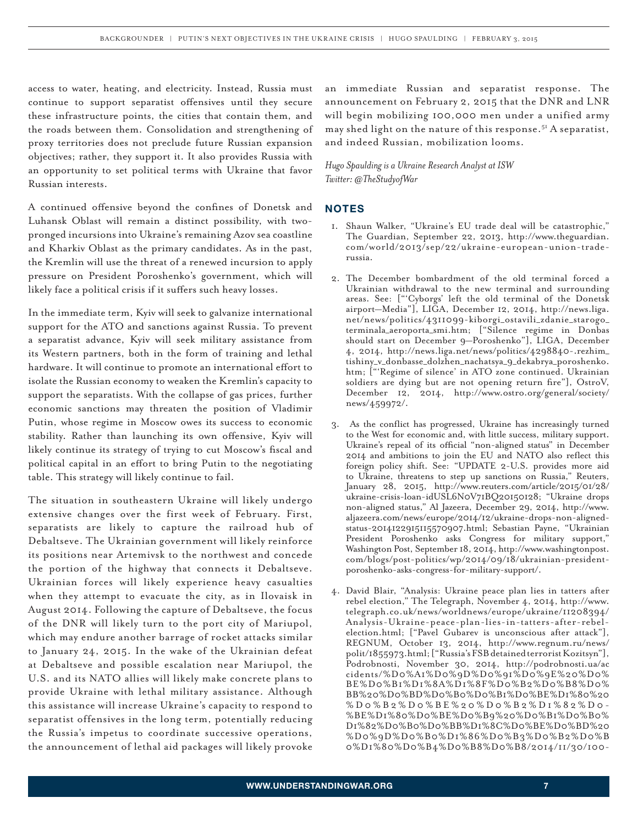access to water, heating, and electricity. Instead, Russia must continue to support separatist offensives until they secure these infrastructure points, the cities that contain them, and the roads between them. Consolidation and strengthening of proxy territories does not preclude future Russian expansion objectives; rather, they support it. It also provides Russia with an opportunity to set political terms with Ukraine that favor Russian interests.

A continued offensive beyond the confines of Donetsk and Luhansk Oblast will remain a distinct possibility, with twopronged incursions into Ukraine's remaining Azov sea coastline and Kharkiv Oblast as the primary candidates. As in the past, the Kremlin will use the threat of a renewed incursion to apply pressure on President Poroshenko's government, which will likely face a political crisis if it suffers such heavy losses.

In the immediate term, Kyiv will seek to galvanize international support for the ATO and sanctions against Russia. To prevent a separatist advance, Kyiv will seek military assistance from its Western partners, both in the form of training and lethal hardware. It will continue to promote an international effort to isolate the Russian economy to weaken the Kremlin's capacity to support the separatists. With the collapse of gas prices, further economic sanctions may threaten the position of Vladimir Putin, whose regime in Moscow owes its success to economic stability. Rather than launching its own offensive, Kyiv will likely continue its strategy of trying to cut Moscow's fiscal and political capital in an effort to bring Putin to the negotiating table. This strategy will likely continue to fail.

The situation in southeastern Ukraine will likely undergo extensive changes over the first week of February. First, separatists are likely to capture the railroad hub of Debaltseve. The Ukrainian government will likely reinforce its positions near Artemivsk to the northwest and concede the portion of the highway that connects it Debaltseve. Ukrainian forces will likely experience heavy casualties when they attempt to evacuate the city, as in Ilovaisk in August 2014. Following the capture of Debaltseve, the focus of the DNR will likely turn to the port city of Mariupol, which may endure another barrage of rocket attacks similar to January 24, 2015. In the wake of the Ukrainian defeat at Debaltseve and possible escalation near Mariupol, the U.S. and its NATO allies will likely make concrete plans to provide Ukraine with lethal military assistance. Although this assistance will increase Ukraine's capacity to respond to separatist offensives in the long term, potentially reducing the Russia's impetus to coordinate successive operations, the announcement of lethal aid packages will likely provoke

an immediate Russian and separatist response. The announcement on February 2, 2015 that the DNR and LNR will begin mobilizing 100,000 men under a unified army may shed light on the nature of this response.<sup>51</sup> A separatist, and indeed Russian, mobilization looms.

*Hugo Spaulding is a Ukraine Research Analyst at ISW Twitter: @TheStudyofWar*

#### **NOTES**

- 1. Shaun Walker, "Ukraine's EU trade deal will be catastrophic," The Guardian, September 22, 2013, http://www.theguardian. com/world/2013/sep/22/ukraine-european-union-traderussia.
- 2. The December bombardment of the old terminal forced a Ukrainian withdrawal to the new terminal and surrounding areas. See: ["'Cyborgs' left the old terminal of the Donetsk airport—Media"], LIGA, December 12, 2014, http://news.liga. net/news/politics/4311099-kiborgi\_ostavili\_zdanie\_starogo\_ terminala\_aeroporta\_smi.htm; ["Silence regime in Donbas should start on December 9—Poroshenko"], LIGA, December 4, 2014, http://news.liga.net/news/politics/4298840-.rezhim\_ tishiny\_v\_donbasse\_dolzhen\_nachatsya\_9\_dekabrya\_poroshenko. htm; ["'Regime of silence' in ATO zone continued. Ukrainian soldiers are dying but are not opening return fire"], OstroV, December 12, 2014, http://www.ostro.org/general/society/ news/459972/.
- 3. As the conflict has progressed, Ukraine has increasingly turned to the West for economic and, with little success, military support. Ukraine's repeal of its official "non-aligned status" in December 2014 and ambitions to join the EU and NATO also reflect this foreign policy shift. See: "UPDATE 2-U.S. provides more aid to Ukraine, threatens to step up sanctions on Russia," Reuters, January 28, 2015, http://www.reuters.com/article/2015/01/28/ ukraine-crisis-loan-idUSL6N0V71BQ20150128; "Ukraine drops non-aligned status," Al Jazeera, December 29, 2014, http://www. aljazeera.com/news/europe/2014/12/ukraine-drops-non-alignedstatus-2014122915115570907.html; Sebastian Payne, "Ukrainian President Poroshenko asks Congress for military support," Washington Post, September 18, 2014, http://www.washingtonpost. com/blogs/post-politics/wp/2014/09/18/ukrainian-presidentporoshenko-asks-congress-for-military-support/.
- 4. David Blair, "Analysis: Ukraine peace plan lies in tatters after rebel election," The Telegraph, November 4, 2014, http://www. telegraph.co.uk/news/worldnews/europe/ukraine/11208394/ Analysis-Ukraine-peace-plan-lies-in-tatters-after-rebelelection.html; ["Pavel Gubarev is unconscious after attack"], REGNUM, October 13, 2014, http://www.regnum.ru/news/ polit/1855973.html; ["Russia's FSB detained terrorist Kozitsyn"], Podrobnosti, November 30, 2014, http://podrobnosti.ua/ac cidents/%D0%A1%D0%9D%D0%91%D0%9E%20%D0% BE%D0%B1%D1%8A%D1%8F%D0%B2%D0%B8%D0% BB%20%D0%BD%D0%B0%D0%B1%D0%BE%D1%80%20 %D0%B2%D0%BE%20%D0%B2%D1%82%D0 - %BE%D1%80%D0%BE%D0%B9%20%D0%B1%D0%B0% D1%82%D0%B0%D0%BB%D1%8C%D0%BE%D0%BD%20 %D0%9D%D0%B0%D1%86%D0%B3%D0%B2%D0%B 0%D1%80%D0%B4%D0%B8%D0%B8/2014/11/30/100-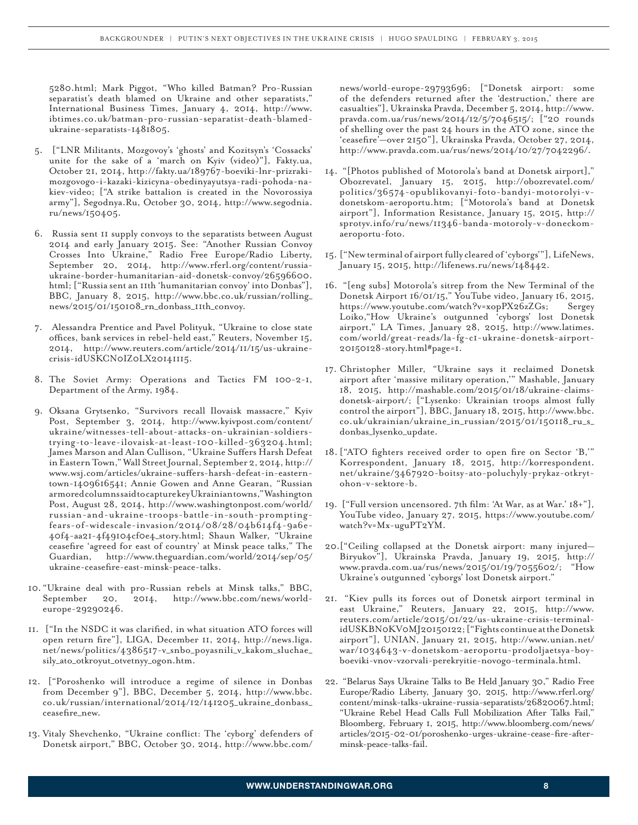5280.html; Mark Piggot, "Who killed Batman? Pro-Russian separatist's death blamed on Ukraine and other separatists," International Business Times, January 4, 2014, http://www. ibtimes.co.uk/batman-pro-russian-separatist-death-blamedukraine-separatists-1481805.

- 5. ["LNR Militants, Mozgovoy's 'ghosts' and Kozitsyn's 'Cossacks' unite for the sake of a 'march on Kyiv (video)"], Fakty.ua, October 21, 2014, http://fakty.ua/189767-boeviki-lnr-prizrakimozgovogo-i-kazaki-kizicyna-obedinyayutsya-radi-pohoda-nakiev-video; ["A strike battalion is created in the Novorossiya army"], Segodnya.Ru, October 30, 2014, http://www.segodnia. ru/news/150405.
- 6. Russia sent 11 supply convoys to the separatists between August 2014 and early January 2015. See: "Another Russian Convoy Crosses Into Ukraine," Radio Free Europe/Radio Liberty, September 20, 2014, http://www.rferl.org/content/russiaukraine-border-humanitarian-aid-donetsk-convoy/26596600. html; ["Russia sent an 11th 'humanitarian convoy' into Donbas"], BBC, January 8, 2015, http://www.bbc.co.uk/russian/rolling\_ news/2015/01/150108\_rn\_donbass\_11th\_convoy.
- 7. Alessandra Prentice and Pavel Polityuk, "Ukraine to close state offices, bank services in rebel-held east," Reuters, November 15, 2014, http://www.reuters.com/article/2014/11/15/us-ukrainecrisis-idUSKCN0IZ0LX20141115.
- 8. The Soviet Army: Operations and Tactics FM 100-2-1, Department of the Army, 1984.
- 9. Oksana Grytsenko, "Survivors recall Ilovaisk massacre," Kyiv Post, September 3, 2014, http://www.kyivpost.com/content/ ukraine/witnesses-tell-about-attacks-on-ukrainian-soldierstrying-to-leave-ilovaisk-at-least-100-killed-363204.html; James Marson and Alan Cullison, "Ukraine Suffers Harsh Defeat in Eastern Town," Wall Street Journal, September 2, 2014, http:// www.wsj.com/articles/ukraine-suffers-harsh-defeat-in-easterntown-1409616541; Annie Gowen and Anne Gearan, "Russian armored columns said to capture key Ukrainian towns," Washington Post, August 28, 2014, http://www.washingtonpost.com/world/ russian-and-ukraine-troops-battle-in-south-promptingfears-of-widescale-invasion/2014/08/28/04b614f4-9a6e-40f4-aa21-4f49104cf0e4\_story.html; Shaun Walker, "Ukraine ceasefire 'agreed for east of country' at Minsk peace talks," The Guardian, http://www.theguardian.com/world/2014/sep/05/ ukraine-ceasefire-east-minsk-peace-talks.
- 10. "Ukraine deal with pro-Russian rebels at Minsk talks," BBC, September 20, 2014, http://www.bbc.com/news/worldeurope-29290246.
- 11. ["In the NSDC it was clarified, in what situation ATO forces will open return fire"], LIGA, December 11, 2014, http://news.liga. net/news/politics/4386517-v\_snbo\_poyasnili\_v\_kakom\_sluchae\_ sily\_ato\_otkroyut\_otvetnyy\_ogon.htm.
- 12. ["Poroshenko will introduce a regime of silence in Donbas from December 9"], BBC, December 5, 2014, http://www.bbc. co.uk/russian/international/2014/12/141205\_ukraine\_donbass\_ ceasefire\_new.
- 13. Vitaly Shevchenko, "Ukraine conflict: The 'cyborg' defenders of Donetsk airport," BBC, October 30, 2014, http://www.bbc.com/

news/world-europe-29793696; ["Donetsk airport: some of the defenders returned after the 'destruction,' there are casualties"], Ukrainska Pravda, December 5, 2014, http://www. pravda.com.ua/rus/news/2014/12/5/7046515/; ["20 rounds of shelling over the past 24 hours in the ATO zone, since the 'ceasefire'—over 2150"], Ukrainska Pravda, October 27, 2014, http://www.pravda.com.ua/rus/news/2014/10/27/7042296/.

- 14. "[Photos published of Motorola's band at Donetsk airport]," Obozrevatel, January 15, 2015, http://obozrevatel.com/ politics/36574-opublikovanyi-foto-bandyi-motorolyi-vdonetskom-aeroportu.htm; ["Motorola's band at Donetsk airport"], Information Resistance, January 15, 2015, http:// sprotyv.info/ru/news/11346-banda-motoroly-v-doneckomaeroportu-foto.
- 15. ["New terminal of airport fully cleared of 'cyborgs'"], LifeNews, January 15, 2015, http://lifenews.ru/news/148442.
- 16. "[eng subs] Motorola's sitrep from the New Terminal of the Donetsk Airport 16/01/15," YouTube video, January 16, 2015, https://www.youtube.com/watch?v=xopPX26zZGs; Sergey Loiko,"How Ukraine's outgunned 'cyborgs' lost Donetsk airport," LA Times, January 28, 2015, http://www.latimes. com/world/great-reads/la-fg-c1-ukraine-donetsk-airport-20150128-story.html#page=1.
- 17. Christopher Miller, "Ukraine says it reclaimed Donetsk airport after 'massive military operation,'" Mashable, January 18, 2015, http://mashable.com/2015/01/18/ukraine-claimsdonetsk-airport/; ["Lysenko: Ukrainian troops almost fully control the airport"], BBC, January 18, 2015, http://www.bbc. co.uk/ukrainian/ukraine\_in\_russian/2015/01/150118\_ru\_s\_ donbas\_lysenko\_update.
- 18.["ATO fighters received order to open fire on Sector 'B,'" Korrespondent, January 18, 2015, http://korrespondent. net/ukraine/3467920-boitsy-ato-poluchyly-prykaz-otkrytohon-v-sektore-b.
- 19. ["Full version uncensored. 7th film: 'At War, as at War.' 18+"], YouTube video, January 27, 2015, https://www.youtube.com/ watch?v=Mx-uguPT2YM.
- 20.["Ceiling collapsed at the Donetsk airport: many injured— Biryukov"], Ukrainska Pravda, January 19, 2015, http:// www.pravda.com.ua/rus/news/2015/01/19/7055602/; "How Ukraine's outgunned 'cyborgs' lost Donetsk airport."
- 21. "Kiev pulls its forces out of Donetsk airport terminal in east Ukraine," Reuters, January 22, 2015, http://www. reuters.com/article/2015/01/22/us-ukraine-crisis-terminalidUSKBN0KV0MJ20150122; ["Fights continue at the Donetsk airport"], UNIAN, January 21, 2015, http://www.unian.net/ war/1034643-v-donetskom-aeroportu-prodoljaetsya-boyboeviki-vnov-vzorvali-perekryitie-novogo-terminala.html.
- 22. "Belarus Says Ukraine Talks to Be Held January 30," Radio Free Europe/Radio Liberty, January 30, 2015, http://www.rferl.org/ content/minsk-talks-ukraine-russia-separatists/26820067.html; "Ukraine Rebel Head Calls Full Mobilization After Talks Fail," Bloomberg, February 1, 2015, http://www.bloomberg.com/news/ articles/2015-02-01/poroshenko-urges-ukraine-cease-fire-afterminsk-peace-talks-fail.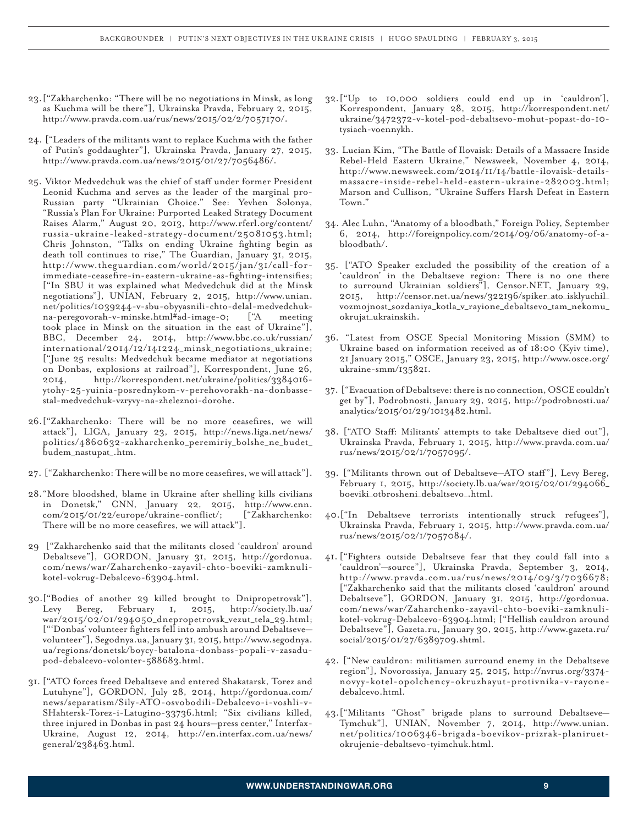- 23.["Zakharchenko: "There will be no negotiations in Minsk, as long as Kuchma will be there"], Ukrainska Pravda, February 2, 2015, http://www.pravda.com.ua/rus/news/2015/02/2/7057170/.
- 24. ["Leaders of the militants want to replace Kuchma with the father of Putin's goddaughter"], Ukrainska Pravda, January 27, 2015, http://www.pravda.com.ua/news/2015/01/27/7056486/.
- 25. Viktor Medvedchuk was the chief of staff under former President Leonid Kuchma and serves as the leader of the marginal pro-Russian party "Ukrainian Choice." See: Yevhen Solonya, "Russia's Plan For Ukraine: Purported Leaked Strategy Document Raises Alarm," August 20, 2013, http://www.rferl.org/content/ russia-ukraine-leaked-strategy-document/25081053.html; Chris Johnston, "Talks on ending Ukraine fighting begin as death toll continues to rise," The Guardian, January 31, 2015, http://www.theguardian.com/world/2015/jan/31/call-forimmediate-ceasefire-in-eastern-ukraine-as-fighting-intensifies; ["In SBU it was explained what Medvedchuk did at the Minsk negotiations"], UNIAN, February 2, 2015, http://www.unian. net/politics/1039244-v-sbu-obyyasnili-chto-delal-medvedchukna-peregovorah-v-minske.html#ad-image-0; ["A meeting took place in Minsk on the situation in the east of Ukraine"], BBC, December 24, 2014, http://www.bbc.co.uk/russian/ international/2014/12/141224\_minsk\_negotiations\_ukraine; ["June 25 results: Medvedchuk became mediator at negotiations on Donbas, explosions at railroad"], Korrespondent, June 26, 2014, http://korrespondent.net/ukraine/politics/3384016 ytohy-25-yuinia-posrednykom-v-perehovorakh-na-donbassestal-medvedchuk-vzryvy-na-zheleznoi-dorohe.
- 26.["Zakharchenko: There will be no more ceasefires, we will attack"], LIGA, January 23, 2015, http://news.liga.net/news/ politics/4860632-zakharchenko\_peremiriy\_bolshe\_ne\_budet\_ budem\_nastupat\_.htm.
- 27. ["Zakharchenko: There will be no more ceasefires, we will attack"].
- 28."More bloodshed, blame in Ukraine after shelling kills civilians in Donetsk," CNN, January 22, 2015, http://www.cnn.<br>com/2015/01/22/europe/ukraine-conflict/; ["Zakharchenko: com/2015/01/22/europe/ukraine-conflict/; There will be no more ceasefires, we will attack"].
- 29 ["Zakharchenko said that the militants closed 'cauldron' around Debaltseve"], GORDON, January 31, 2015, http://gordonua. com/news/war/Zaharchenko-zayavil-chto-boeviki-zamknulikotel-vokrug-Debalcevo-63904.html.
- 30.["Bodies of another 29 killed brought to Dnipropetrovsk"], Levy Bereg, February 1, 2015, http://society.lb.ua/ war/2015/02/01/294050\_dnepropetrovsk\_vezut\_tela\_29.html; ["'Donbas' volunteer fighters fell into ambush around Debaltseve volunteer"], Segodnya.ua, January 31, 2015, http://www.segodnya. ua/regions/donetsk/boycy-batalona-donbass-popali-v-zasadupod-debalcevo-volonter-588683.html.
- 31. ["ATO forces freed Debaltseve and entered Shakatarsk, Torez and Lutuhyne"], GORDON, July 28, 2014, http://gordonua.com/ news/separatism/Sily-ATO-osvobodili-Debalcevo-i-voshli-v-SHahtersk-Torez-i-Latugino-33736.html; "Six civilians killed, three injured in Donbas in past 24 hours—press center," Interfax-Ukraine, August 12, 2014, http://en.interfax.com.ua/news/ general/238463.html.
- 32.["Up to 10,000 soldiers could end up in 'cauldron'], Korrespondent, January 28, 2015, http://korrespondent.net/ ukraine/3472372-v-kotel-pod-debaltsevo-mohut-popast-do-10 tysiach-voennykh.
- 33. Lucian Kim, "The Battle of Ilovaisk: Details of a Massacre Inside Rebel-Held Eastern Ukraine," Newsweek, November 4, 2014, http://www.newsweek.com/2014/11/14/battle-ilovaisk-detailsmassacre-inside-rebel-held-eastern-ukraine-282003.html; Marson and Cullison, "Ukraine Suffers Harsh Defeat in Eastern Town."
- 34. Alec Luhn, "Anatomy of a bloodbath," Foreign Policy, September 6, 2014, http://foreignpolicy.com/2014/09/06/anatomy-of-abloodbath/.
- 35. ["ATO Speaker excluded the possibility of the creation of a 'cauldron' in the Debaltseve region: There is no one there to surround Ukrainian soldiers"], Censor.NET, January 29, 2015, http://censor.net.ua/news/322196/spiker\_ato\_isklyuchil\_ vozmojnost\_sozdaniya\_kotla\_v\_rayione\_debaltsevo\_tam\_nekomu\_ okrujat\_ukrainskih.
- 36. "Latest from OSCE Special Monitoring Mission (SMM) to Ukraine based on information received as of 18:00 (Kyiv time), 21 January 2015," OSCE, January 23, 2015, http://www.osce.org/ ukraine-smm/135821.
- 37. ["Evacuation of Debaltseve: there is no connection, OSCE couldn't get by"], Podrobnosti, January 29, 2015, http://podrobnosti.ua/ analytics/2015/01/29/1013482.html.
- 38. ["ATO Staff: Militants' attempts to take Debaltseve died out"], Ukrainska Pravda, February 1, 2015, http://www.pravda.com.ua/ rus/news/2015/02/1/7057095/.
- 39. ["Militants thrown out of Debaltseve—ATO staff"], Levy Bereg, February 1, 2015, http://society.lb.ua/war/2015/02/01/294066\_ boeviki\_otbrosheni\_debaltsevo\_.html.
- 40.["In Debaltseve terrorists intentionally struck refugees"], Ukrainska Pravda, February 1, 2015, http://www.pravda.com.ua/ rus/news/2015/02/1/7057084/.
- 41. ["Fighters outside Debaltseve fear that they could fall into a 'cauldron'—source"], Ukrainska Pravda, September 3, 2014, http://www.pravda.com.ua/rus/news/2014/09/3/7036678; ["Zakharchenko said that the militants closed 'cauldron' around Debaltseve"], GORDON, January 31, 2015, http://gordonua. com/news/war/Zaharchenko-zayavil-chto-boeviki-zamknulikotel-vokrug-Debalcevo-63904.html; ["Hellish cauldron around Debaltseve"], Gazeta.ru, January 30, 2015, http://www.gazeta.ru/ social/2015/01/27/6389709.shtml.
- 42. ["New cauldron: militiamen surround enemy in the Debaltseve region"], Novorossiya, January 25, 2015, http://nvrus.org/3374 novyy-kotel-opolchency-okruzhayut-protivnika-v-rayonedebalcevo.html.
- 43.["Militants "Ghost" brigade plans to surround Debaltseve— Tymchuk"], UNIAN, November 7, 2014, http://www.unian. net/politics/1006346-brigada-boevikov-prizrak-planiruetokrujenie-debaltsevo-tyimchuk.html.